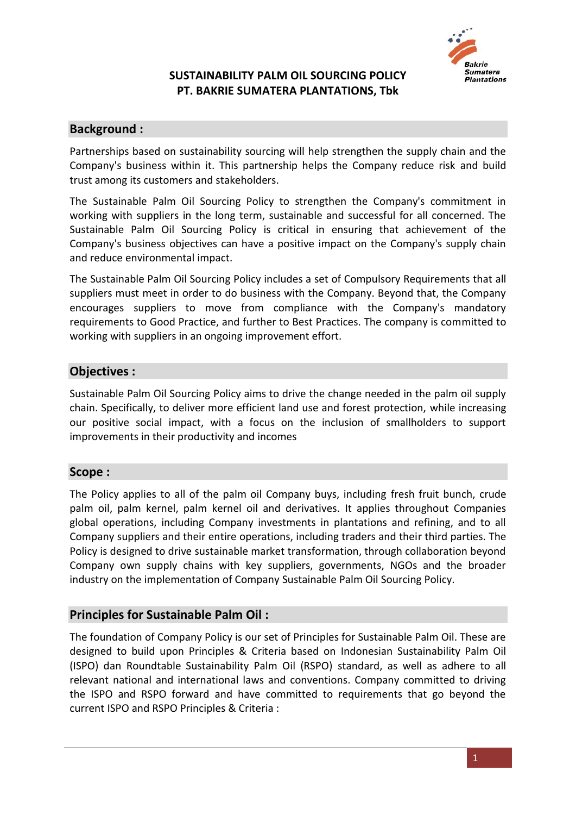

# **Background :**

Partnerships based on sustainability sourcing will help strengthen the supply chain and the Company's business within it. This partnership helps the Company reduce risk and build trust among its customers and stakeholders.

The Sustainable Palm Oil Sourcing Policy to strengthen the Company's commitment in working with suppliers in the long term, sustainable and successful for all concerned. The Sustainable Palm Oil Sourcing Policy is critical in ensuring that achievement of the Company's business objectives can have a positive impact on the Company's supply chain and reduce environmental impact.

The Sustainable Palm Oil Sourcing Policy includes a set of Compulsory Requirements that all suppliers must meet in order to do business with the Company. Beyond that, the Company encourages suppliers to move from compliance with the Company's mandatory requirements to Good Practice, and further to Best Practices. The company is committed to working with suppliers in an ongoing improvement effort.

### **Objectives :**

Sustainable Palm Oil Sourcing Policy aims to drive the change needed in the palm oil supply chain. Specifically, to deliver more efficient land use and forest protection, while increasing our positive social impact, with a focus on the inclusion of smallholders to support improvements in their productivity and incomes

### **Scope :**

The Policy applies to all of the palm oil Company buys, including fresh fruit bunch, crude palm oil, palm kernel, palm kernel oil and derivatives. It applies throughout Companies global operations, including Company investments in plantations and refining, and to all Company suppliers and their entire operations, including traders and their third parties. The Policy is designed to drive sustainable market transformation, through collaboration beyond Company own supply chains with key suppliers, governments, NGOs and the broader industry on the implementation of Company Sustainable Palm Oil Sourcing Policy.

### **Principles for Sustainable Palm Oil :**

The foundation of Company Policy is our set of Principles for Sustainable Palm Oil. These are designed to build upon Principles & Criteria based on Indonesian Sustainability Palm Oil (ISPO) dan Roundtable Sustainability Palm Oil (RSPO) standard, as well as adhere to all relevant national and international laws and conventions. Company committed to driving the ISPO and RSPO forward and have committed to requirements that go beyond the current ISPO and RSPO Principles & Criteria :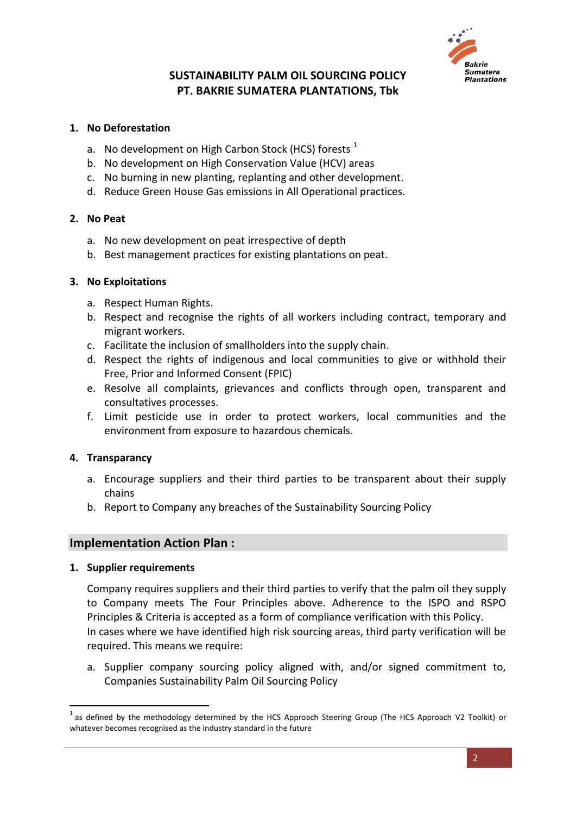

#### **1. No Deforestation**

- a. No development on High Carbon Stock (HCS) forests  $<sup>1</sup>$ </sup>
- b. No development on High Conservation Value (HCV) areas
- c. No burning in new planting, replanting and other development.
- d. Reduce Green House Gas emissions in All Operational practices.

#### **2. No Peat**

- a. No new development on peat irrespective of depth
- b. Best management practices for existing plantations on peat.

#### **3. No Exploitations**

- a. Respect Human Rights.
- b. Respect and recognise the rights of all workers including contract, temporary and migrant workers.
- c. Facilitate the inclusion of smallholders into the supply chain.
- d. Respect the rights of indigenous and local communities to give or withhold their Free, Prior and Informed Consent (FPIC)
- e. Resolve all complaints, grievances and conflicts through open, transparent and consultatives processes.
- f. Limit pesticide use in order to protect workers, local communities and the environment from exposure to hazardous chemicals.

### **4. Transparancy**

- a. Encourage suppliers and their third parties to be transparent about their supply chains
- b. Report to Company any breaches of the Sustainability Sourcing Policy

### **Implementation Action Plan :**

#### **1. Supplier requirements**

**.** 

Company requires suppliers and their third parties to verify that the palm oil they supply to Company meets The Four Principles above. Adherence to the ISPO and RSPO Principles & Criteria is accepted as a form of compliance verification with this Policy. In cases where we have identified high risk sourcing areas, third party verification will be required. This means we require:

a. Supplier company sourcing policy aligned with, and/or signed commitment to, Companies Sustainability Palm Oil Sourcing Policy

<sup>1</sup> as defined by the methodology determined by the HCS Approach Steering Group (The HCS Approach V2 Toolkit) or whatever becomes recognised as the industry standard in the future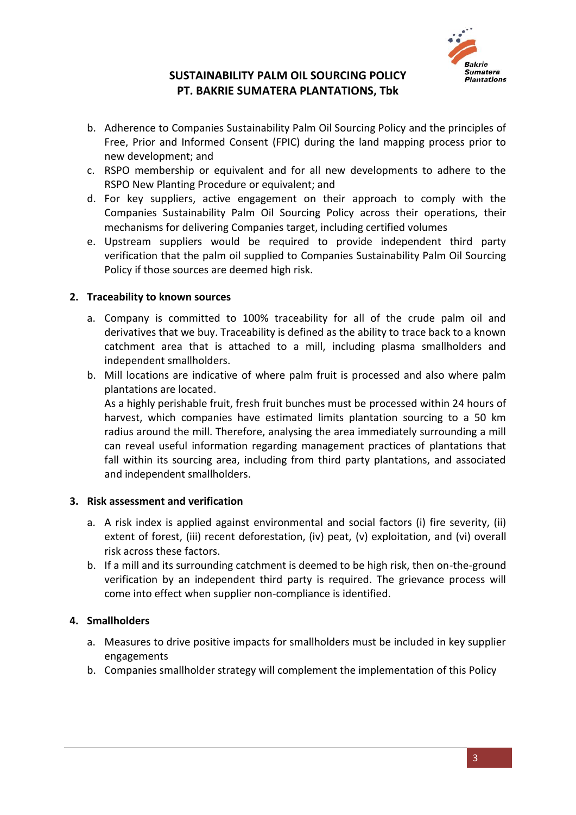

- b. Adherence to Companies Sustainability Palm Oil Sourcing Policy and the principles of Free, Prior and Informed Consent (FPIC) during the land mapping process prior to new development; and
- c. RSPO membership or equivalent and for all new developments to adhere to the RSPO New Planting Procedure or equivalent; and
- d. For key suppliers, active engagement on their approach to comply with the Companies Sustainability Palm Oil Sourcing Policy across their operations, their mechanisms for delivering Companies target, including certified volumes
- e. Upstream suppliers would be required to provide independent third party verification that the palm oil supplied to Companies Sustainability Palm Oil Sourcing Policy if those sources are deemed high risk.

### **2. Traceability to known sources**

- a. Company is committed to 100% traceability for all of the crude palm oil and derivatives that we buy. Traceability is defined as the ability to trace back to a known catchment area that is attached to a mill, including plasma smallholders and independent smallholders.
- b. Mill locations are indicative of where palm fruit is processed and also where palm plantations are located.

As a highly perishable fruit, fresh fruit bunches must be processed within 24 hours of harvest, which companies have estimated limits plantation sourcing to a 50 km radius around the mill. Therefore, analysing the area immediately surrounding a mill can reveal useful information regarding management practices of plantations that fall within its sourcing area, including from third party plantations, and associated and independent smallholders.

#### **3. Risk assessment and verification**

- a. A risk index is applied against environmental and social factors (i) fire severity, (ii) extent of forest, (iii) recent deforestation, (iv) peat, (v) exploitation, and (vi) overall risk across these factors.
- b. If a mill and its surrounding catchment is deemed to be high risk, then on-the-ground verification by an independent third party is required. The grievance process will come into effect when supplier non-compliance is identified.

### **4. Smallholders**

- a. Measures to drive positive impacts for smallholders must be included in key supplier engagements
- b. Companies smallholder strategy will complement the implementation of this Policy